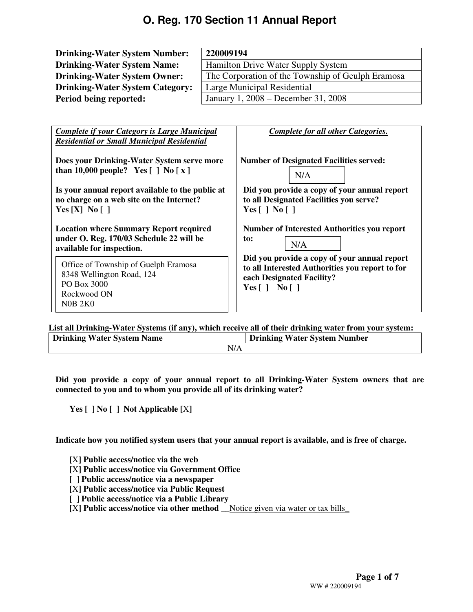| <b>Drinking-Water System Number:</b>                                                   | 220009194                                             |  |  |  |  |
|----------------------------------------------------------------------------------------|-------------------------------------------------------|--|--|--|--|
| <b>Drinking-Water System Name:</b>                                                     | Hamilton Drive Water Supply System                    |  |  |  |  |
| <b>Drinking-Water System Owner:</b>                                                    | The Corporation of the Township of Geulph Eramosa     |  |  |  |  |
| <b>Drinking-Water System Category:</b>                                                 | Large Municipal Residential                           |  |  |  |  |
| Period being reported:                                                                 | January 1, 2008 – December 31, 2008                   |  |  |  |  |
|                                                                                        |                                                       |  |  |  |  |
| Complete if your Category is Large Municipal                                           | Complete for all other Categories.                    |  |  |  |  |
| <b>Residential or Small Municipal Residential</b>                                      |                                                       |  |  |  |  |
| Does your Drinking-Water System serve more<br>than 10,000 people? Yes $[ ]$ No $[ x ]$ | <b>Number of Designated Facilities served:</b><br>N/A |  |  |  |  |

**Is your annual report available to the public at no charge on a web site on the Internet? Yes [X] No [ ]**

**Location where Summary Report required under O. Reg. 170/03 Schedule 22 will be available for inspection.** 

Office of Township of Guelph Eramosa 8348 Wellington Road, 124 PO Box 3000 Rockwood ON N0B 2K0

**Number of Interested Authorities you report to:**  N/A

**Did you provide a copy of your annual report** 

**to all Designated Facilities you serve?** 

**Yes [ ] No [ ]** 

**Did you provide a copy of your annual report to all Interested Authorities you report to for each Designated Facility? Yes [ ] No [ ]** 

**List all Drinking-Water Systems (if any), which receive all of their drinking water from your system:** 

| <b>Drinking Water System Name</b> | <b>Drinking Water System Number</b> |
|-----------------------------------|-------------------------------------|
| N/L                               |                                     |

**Did you provide a copy of your annual report to all Drinking-Water System owners that are connected to you and to whom you provide all of its drinking water?** 

**Yes [ ] No [ ] Not Applicable [**X**]** 

**Indicate how you notified system users that your annual report is available, and is free of charge.** 

**[**X**] Public access/notice via the web** 

- **[**X**] Public access/notice via Government Office**
- **[ ] Public access/notice via a newspaper**
- **[**X**] Public access/notice via Public Request**
- **[ ] Public access/notice via a Public Library**

**[**X**] Public access/notice via other method \_\_**Notice given via water or tax bills\_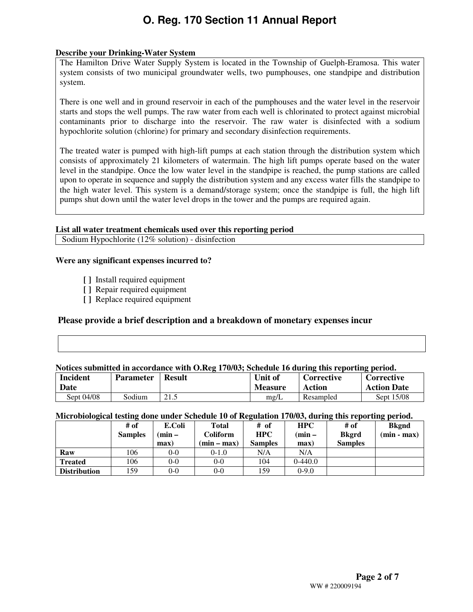### **Describe your Drinking-Water System**

The Hamilton Drive Water Supply System is located in the Township of Guelph-Eramosa. This water system consists of two municipal groundwater wells, two pumphouses, one standpipe and distribution system.

There is one well and in ground reservoir in each of the pumphouses and the water level in the reservoir starts and stops the well pumps. The raw water from each well is chlorinated to protect against microbial contaminants prior to discharge into the reservoir. The raw water is disinfected with a sodium hypochlorite solution (chlorine) for primary and secondary disinfection requirements.

The treated water is pumped with high-lift pumps at each station through the distribution system which consists of approximately 21 kilometers of watermain. The high lift pumps operate based on the water level in the standpipe. Once the low water level in the standpipe is reached, the pump stations are called upon to operate in sequence and supply the distribution system and any excess water fills the standpipe to the high water level. This system is a demand/storage system; once the standpipe is full, the high lift pumps shut down until the water level drops in the tower and the pumps are required again.

#### **List all water treatment chemicals used over this reporting period**

Sodium Hypochlorite (12% solution) - disinfection

#### **Were any significant expenses incurred to?**

- **[ ]** Install required equipment
- **[ ]** Repair required equipment
- **[ ]** Replace required equipment

### **Please provide a brief description and a breakdown of monetary expenses incur**

#### **Notices submitted in accordance with O.Reg 170/03; Schedule 16 during this reporting period.**

| Incident<br>Date | <b>Parameter</b> | <b>Result</b>                      | Unit of<br><b>Measure</b> | Corrective<br>Action | Corrective<br><b>Action Date</b> |
|------------------|------------------|------------------------------------|---------------------------|----------------------|----------------------------------|
| Sept 04/08       | Sodium           | $\bigcap$ 1 $\subseteq$<br>ن د اسک | mg/L                      | Resampled            | Sept 15/08                       |

#### **Microbiological testing done under Schedule 10 of Regulation 170/03, during this reporting period.**

|                     | # of           | E.Coli  | <b>Total</b>  | # of           | <b>HPC</b> | # of           | <b>Bkgnd</b>  |
|---------------------|----------------|---------|---------------|----------------|------------|----------------|---------------|
|                     | <b>Samples</b> | $min -$ | Coliform      | <b>HPC</b>     | $(min -$   | <b>Bkgrd</b>   | $(min - max)$ |
|                     |                | max)    | $(min - max)$ | <b>Samples</b> | max)       | <b>Samples</b> |               |
| Raw                 | 106            | $0-0$   | $0-1.0$       | N/A            | N/A        |                |               |
| <b>Treated</b>      | 106            | $0 - 0$ | 0-0           | 104            | $0-440.0$  |                |               |
| <b>Distribution</b> | 159            | $0 - 0$ | 0-0           | 159            | $0-9.0$    |                |               |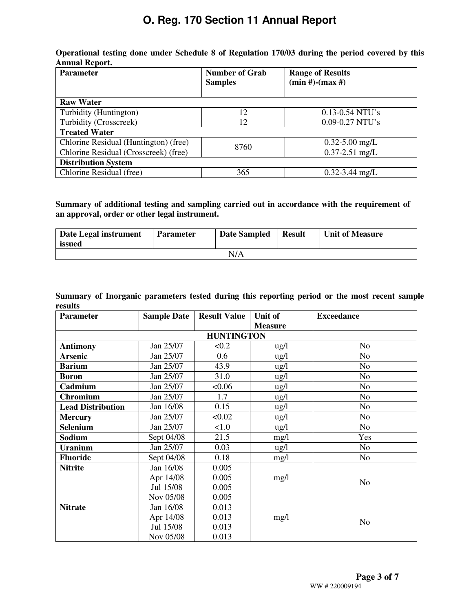| Operational testing done under Schedule 8 of Regulation 170/03 during the period covered by this |  |  |  |  |  |
|--------------------------------------------------------------------------------------------------|--|--|--|--|--|
| Annual Report.                                                                                   |  |  |  |  |  |

| <b>Parameter</b>                      | <b>Number of Grab</b><br><b>Samples</b> | <b>Range of Results</b><br>$(min #)-(max #)$ |
|---------------------------------------|-----------------------------------------|----------------------------------------------|
| <b>Raw Water</b>                      |                                         |                                              |
| Turbidity (Huntington)                | 12                                      | $0.13 - 0.54$ NTU's                          |
| Turbidity (Crosscreek)                | 12                                      | $0.09 - 0.27$ NTU's                          |
| <b>Treated Water</b>                  |                                         |                                              |
| Chlorine Residual (Huntington) (free) | 8760                                    | $0.32 - 5.00$ mg/L                           |
| Chlorine Residual (Crosscreek) (free) |                                         | $0.37 - 2.51$ mg/L                           |
| <b>Distribution System</b>            |                                         |                                              |
| Chlorine Residual (free)              | 365                                     | $0.32 - 3.44$ mg/L                           |

### **Summary of additional testing and sampling carried out in accordance with the requirement of an approval, order or other legal instrument.**

| Date Legal instrument<br>issued | <b>Parameter</b> | <b>Date Sampled</b> | <b>Result</b> | <b>Unit of Measure</b> |
|---------------------------------|------------------|---------------------|---------------|------------------------|
|                                 |                  | N/A                 |               |                        |

**Summary of Inorganic parameters tested during this reporting period or the most recent sample results** 

| <b>Parameter</b>         | <b>Sample Date</b> | <b>Result Value</b> | Unit of         | <b>Exceedance</b> |
|--------------------------|--------------------|---------------------|-----------------|-------------------|
|                          |                    |                     | <b>Measure</b>  |                   |
|                          |                    | <b>HUNTINGTON</b>   |                 |                   |
| <b>Antimony</b>          | Jan 25/07          | < 0.2               | ug/l            | N <sub>o</sub>    |
| <b>Arsenic</b>           | Jan 25/07          | 0.6                 | ug/l            | N <sub>o</sub>    |
| <b>Barium</b>            | Jan 25/07          | 43.9                | $\frac{u g}{l}$ | N <sub>o</sub>    |
| <b>Boron</b>             | Jan 25/07          | 31.0                | $\frac{u g}{l}$ | N <sub>o</sub>    |
| Cadmium                  | Jan 25/07          | < 0.06              | ug/l            | N <sub>0</sub>    |
| <b>Chromium</b>          | Jan 25/07          | 1.7                 | $\frac{u g}{l}$ | N <sub>o</sub>    |
| <b>Lead Distribution</b> | Jan 16/08          | 0.15                | $\frac{u g}{l}$ | No                |
| <b>Mercury</b>           | Jan 25/07          | < 0.02              | ug/l            | N <sub>o</sub>    |
| Selenium                 | Jan 25/07          | 1.0                 | ug/l            | N <sub>o</sub>    |
| Sodium                   | Sept 04/08         | 21.5                | mg/1            | Yes               |
| <b>Uranium</b>           | Jan 25/07          | 0.03                | ug/l            | N <sub>o</sub>    |
| <b>Fluoride</b>          | Sept 04/08         | 0.18                | mg/1            | N <sub>o</sub>    |
| <b>Nitrite</b>           | Jan 16/08          | 0.005               |                 |                   |
|                          | Apr 14/08          | 0.005               | mg/l            | N <sub>o</sub>    |
|                          | Jul 15/08          | 0.005               |                 |                   |
|                          | Nov 05/08          | 0.005               |                 |                   |
| <b>Nitrate</b>           | Jan 16/08          | 0.013               |                 |                   |
|                          | Apr 14/08          | 0.013               | mg/1            | N <sub>o</sub>    |
|                          | Jul 15/08          | 0.013               |                 |                   |
|                          | Nov 05/08          | 0.013               |                 |                   |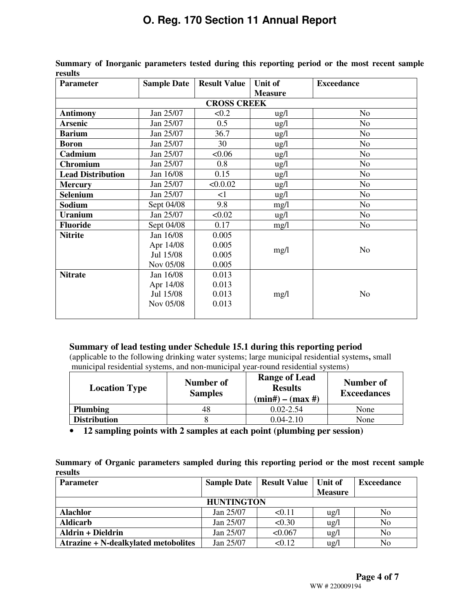| <b>Parameter</b>         | <b>Sample Date</b> | <b>Result Value</b> | Unit of         | <b>Exceedance</b> |
|--------------------------|--------------------|---------------------|-----------------|-------------------|
|                          |                    |                     | <b>Measure</b>  |                   |
|                          |                    | <b>CROSS CREEK</b>  |                 |                   |
| <b>Antimony</b>          | Jan 25/07          | < 0.2               | $\frac{1}{2}$   | N <sub>o</sub>    |
| <b>Arsenic</b>           | Jan 25/07          | 0.5                 | ug/l            | No                |
| <b>Barium</b>            | Jan 25/07          | 36.7                | $\frac{1}{2}$   | N <sub>o</sub>    |
| <b>Boron</b>             | Jan 25/07          | 30                  | $\frac{1}{2}$   | N <sub>o</sub>    |
| Cadmium                  | Jan 25/07          | < 0.06              | $\frac{u g}{l}$ | N <sub>o</sub>    |
| Chromium                 | Jan 25/07          | 0.8                 | ug/l            | N <sub>o</sub>    |
| <b>Lead Distribution</b> | Jan 16/08          | 0.15                | $\frac{1}{2}$   | N <sub>o</sub>    |
| <b>Mercury</b>           | Jan 25/07          | < 0.002             | $\frac{1}{2}$   | N <sub>o</sub>    |
| <b>Selenium</b>          | Jan 25/07          | $\leq$ 1            | ug/l            | No                |
| Sodium                   | Sept 04/08         | 9.8                 | mg/l            | N <sub>o</sub>    |
| <b>Uranium</b>           | Jan 25/07          | < 0.02              | $\frac{1}{2}$   | N <sub>o</sub>    |
| <b>Fluoride</b>          | Sept 04/08         | 0.17                | mg/1            | N <sub>o</sub>    |
| <b>Nitrite</b>           | Jan 16/08          | 0.005               |                 |                   |
|                          | Apr 14/08          | 0.005               | mg/l            | N <sub>o</sub>    |
|                          | Jul 15/08          | 0.005               |                 |                   |
|                          | Nov 05/08          | 0.005               |                 |                   |
| <b>Nitrate</b>           | Jan 16/08          | 0.013               |                 |                   |
|                          | Apr 14/08          | 0.013               |                 |                   |
|                          | Jul 15/08          | 0.013               | mg/l            | N <sub>o</sub>    |
|                          | Nov 05/08          | 0.013               |                 |                   |
|                          |                    |                     |                 |                   |

**Summary of Inorganic parameters tested during this reporting period or the most recent sample results** 

### **Summary of lead testing under Schedule 15.1 during this reporting period**

(applicable to the following drinking water systems; large municipal residential systems**,** small municipal residential systems, and non-municipal year-round residential systems)

| Number of<br><b>Location Type</b><br><b>Samples</b> |    | Range of Lead<br><b>Results</b><br>$(min#) - (max#)$ | Number of<br><b>Exceedances</b> |
|-----------------------------------------------------|----|------------------------------------------------------|---------------------------------|
| <b>Plumbing</b>                                     | 48 | $0.02 - 2.54$                                        | None                            |
| <b>Distribution</b>                                 |    | $0.04 - 2.10$                                        | None                            |

• **12 sampling points with 2 samples at each point (plumbing per session)** 

**Summary of Organic parameters sampled during this reporting period or the most recent sample results** 

| <b>Parameter</b>                     | <b>Sample Date</b> | <b>Result Value   Unit of</b> |                 | <b>Exceedance</b> |  |  |  |
|--------------------------------------|--------------------|-------------------------------|-----------------|-------------------|--|--|--|
|                                      |                    |                               | <b>Measure</b>  |                   |  |  |  |
| <b>HUNTINGTON</b>                    |                    |                               |                 |                   |  |  |  |
| <b>Alachlor</b>                      | Jan 25/07          | < 0.11                        | $\frac{u g}{l}$ | No                |  |  |  |
| <b>Aldicarb</b>                      | Jan 25/07          | < 0.30                        | $\frac{u}{g}$   | No                |  |  |  |
| <b>Aldrin + Dieldrin</b>             | Jan 25/07          | < 0.067                       | $\frac{1}{2}$   | No                |  |  |  |
| Atrazine + N-dealkylated metobolites | Jan 25/07          | < 0.12                        | ug/l            | No                |  |  |  |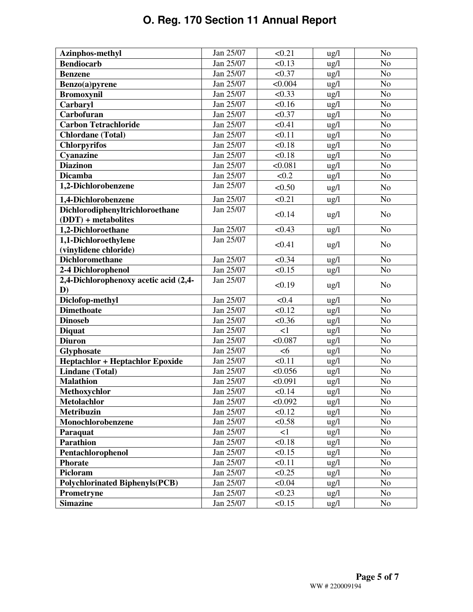| Azinphos-methyl                               | Jan 25/07 | < 0.21   | $\frac{u g}{l}$ | N <sub>o</sub> |
|-----------------------------------------------|-----------|----------|-----------------|----------------|
| <b>Bendiocarb</b>                             | Jan 25/07 | < 0.13   | $\frac{u g}{l}$ | N <sub>o</sub> |
| <b>Benzene</b>                                | Jan 25/07 | < 0.37   | ug/l            | N <sub>o</sub> |
| Benzo(a)pyrene                                | Jan 25/07 | < 0.004  | ug/l            | N <sub>o</sub> |
| <b>Bromoxynil</b>                             | Jan 25/07 | < 0.33   | $\frac{u g}{l}$ | N <sub>o</sub> |
| Carbaryl                                      | Jan 25/07 | < 0.16   | ug/l            | N <sub>o</sub> |
| Carbofuran                                    | Jan 25/07 | < 0.37   | ug/l            | N <sub>o</sub> |
| <b>Carbon Tetrachloride</b>                   | Jan 25/07 | < 0.41   | ug/l            | N <sub>o</sub> |
| <b>Chlordane</b> (Total)                      | Jan 25/07 | < 0.11   | ug/l            | N <sub>o</sub> |
| <b>Chlorpyrifos</b>                           | Jan 25/07 | < 0.18   | $\frac{u g}{l}$ | N <sub>o</sub> |
| Cyanazine                                     | Jan 25/07 | < 0.18   | $\frac{u g}{l}$ | N <sub>o</sub> |
| <b>Diazinon</b>                               | Jan 25/07 | < 0.081  | ug/l            | No             |
| <b>Dicamba</b>                                | Jan 25/07 | < 0.2    | ug/l            | N <sub>o</sub> |
| 1,2-Dichlorobenzene                           | Jan 25/07 | < 0.50   | $\frac{u g}{l}$ | N <sub>o</sub> |
| 1,4-Dichlorobenzene                           | Jan 25/07 | < 0.21   | $\frac{u g}{l}$ | No             |
| Dichlorodiphenyltrichloroethane               | Jan 25/07 | < 0.14   | ug/l            | No             |
| $(DDT)$ + metabolites                         | Jan 25/07 | < 0.43   |                 | N <sub>o</sub> |
| 1,2-Dichloroethane                            |           |          | ug/l            |                |
| 1,1-Dichloroethylene<br>(vinylidene chloride) | Jan 25/07 | < 0.41   | ug/l            | N <sub>o</sub> |
| <b>Dichloromethane</b>                        | Jan 25/07 | < 0.34   | ug/l            | N <sub>o</sub> |
| 2-4 Dichlorophenol                            | Jan 25/07 | < 0.15   | $\frac{u g}{l}$ | N <sub>o</sub> |
| 2,4-Dichlorophenoxy acetic acid (2,4-         | Jan 25/07 |          |                 |                |
| D)                                            |           | < 0.19   | ug/l            | N <sub>o</sub> |
| Diclofop-methyl                               | Jan 25/07 | < 0.4    | $\lg/1$         | N <sub>o</sub> |
| <b>Dimethoate</b>                             | Jan 25/07 | < 0.12   | ug/l            | N <sub>o</sub> |
| <b>Dinoseb</b>                                | Jan 25/07 | < 0.36   | ug/l            | N <sub>o</sub> |
| <b>Diquat</b>                                 | Jan 25/07 | $\leq$ 1 | $\frac{u g}{l}$ | N <sub>o</sub> |
| <b>Diuron</b>                                 | Jan 25/07 | < 0.087  | ug/l            | N <sub>o</sub> |
| Glyphosate                                    | Jan 25/07 | <6       | ug/l            | No             |
| <b>Heptachlor + Heptachlor Epoxide</b>        | Jan 25/07 | < 0.11   | ug/l            | N <sub>o</sub> |
| <b>Lindane</b> (Total)                        | Jan 25/07 | < 0.056  | ug/l            | No             |
| <b>Malathion</b>                              | Jan 25/07 | < 0.091  | $\frac{u g}{l}$ | N <sub>o</sub> |
| Methoxychlor                                  | Jan 25/07 | < 0.14   | $ug/l$          | No             |
| <b>Metolachlor</b>                            | Jan 25/07 | < 0.092  | ug/l            | N <sub>o</sub> |
| <b>Metribuzin</b>                             | Jan 25/07 | < 0.12   | $\frac{u g}{l}$ | No             |
| Monochlorobenzene                             | Jan 25/07 | < 0.58   | ug/l            | No             |
| Paraquat                                      | Jan 25/07 | <1       | $\frac{u g}{l}$ | N <sub>o</sub> |
| <b>Parathion</b>                              | Jan 25/07 | < 0.18   | $\frac{u g}{l}$ | No.            |
| Pentachlorophenol                             | Jan 25/07 | < 0.15   | $\frac{u g}{l}$ | N <sub>o</sub> |
| <b>Phorate</b>                                | Jan 25/07 | < 0.11   | $\frac{u g}{l}$ | No             |
| Picloram                                      | Jan 25/07 | < 0.25   | $\frac{u g}{l}$ | N <sub>o</sub> |
|                                               |           |          |                 |                |
| <b>Polychlorinated Biphenyls(PCB)</b>         | Jan 25/07 | < 0.04   | $\frac{u g}{l}$ | N <sub>o</sub> |
| <b>Prometryne</b>                             | Jan 25/07 | < 0.23   | $\frac{u g}{l}$ | No             |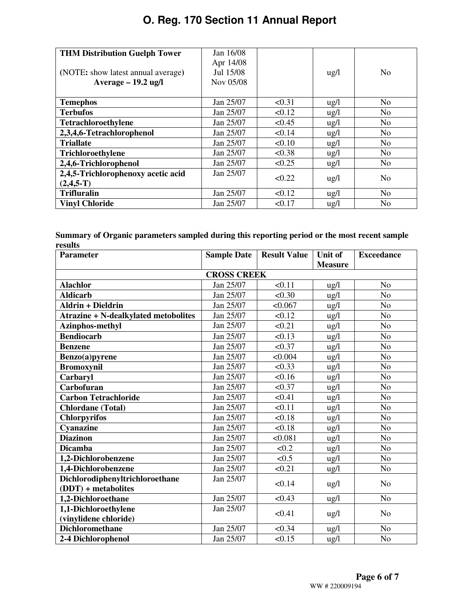| <b>THM Distribution Guelph Tower</b> | Jan 16/08 |        |                 |                |
|--------------------------------------|-----------|--------|-----------------|----------------|
|                                      | Apr 14/08 |        |                 |                |
| (NOTE: show latest annual average)   | Jul 15/08 |        | $\frac{u g}{l}$ | N <sub>0</sub> |
| $Average - 19.2$ ug/l                | Nov 05/08 |        |                 |                |
|                                      |           |        |                 |                |
| <b>Temephos</b>                      | Jan 25/07 | < 0.31 | $\frac{u}{2}$   | N <sub>0</sub> |
| <b>Terbufos</b>                      | Jan 25/07 | < 0.12 | $\frac{u g}{l}$ | N <sub>o</sub> |
| <b>Tetrachloroethylene</b>           | Jan 25/07 | < 0.45 | $\frac{u g}{l}$ | N <sub>0</sub> |
| 2,3,4,6-Tetrachlorophenol            | Jan 25/07 | < 0.14 | $\frac{u}{2}$   | N <sub>0</sub> |
| <b>Triallate</b>                     | Jan 25/07 | < 0.10 | $\frac{u g}{l}$ | N <sub>o</sub> |
| Trichloroethylene                    | Jan 25/07 | < 0.38 | $\frac{u g}{l}$ | N <sub>0</sub> |
| 2,4,6-Trichlorophenol                | Jan 25/07 | < 0.25 | $\frac{u g}{l}$ | N <sub>0</sub> |
| 2,4,5-Trichlorophenoxy acetic acid   | Jan 25/07 | < 0.22 |                 | N <sub>0</sub> |
| $(2,4,5-T)$                          |           |        | $\frac{u}{2}$   |                |
| <b>Trifluralin</b>                   | Jan 25/07 | < 0.12 | $\frac{u g}{l}$ | N <sub>o</sub> |
| <b>Vinyl Chloride</b>                | Jan 25/07 | < 0.17 | $\frac{u}{2}$   | N <sub>0</sub> |

|         | Summary of Organic parameters sampled during this reporting period or the most recent sample |  |  |
|---------|----------------------------------------------------------------------------------------------|--|--|
| results |                                                                                              |  |  |

| <b>Parameter</b>                            | <b>Sample Date</b> | <b>Result Value</b> | Unit of        | <b>Exceedance</b> |
|---------------------------------------------|--------------------|---------------------|----------------|-------------------|
|                                             |                    |                     | <b>Measure</b> |                   |
|                                             | <b>CROSS CREEK</b> |                     |                |                   |
| <b>Alachlor</b>                             | Jan 25/07          | < 0.11              | ug/l           | N <sub>o</sub>    |
| <b>Aldicarb</b>                             | Jan 25/07          | < 0.30              | ug/l           | N <sub>o</sub>    |
| <b>Aldrin + Dieldrin</b>                    | Jan 25/07          | < 0.067             | ug/l           | N <sub>o</sub>    |
| <b>Atrazine + N-dealkylated metobolites</b> | Jan 25/07          | < 0.12              | ug/l           | N <sub>o</sub>    |
| Azinphos-methyl                             | Jan 25/07          | < 0.21              | ug/l           | N <sub>o</sub>    |
| <b>Bendiocarb</b>                           | Jan 25/07          | < 0.13              | ug/l           | N <sub>o</sub>    |
| <b>Benzene</b>                              | Jan 25/07          | < 0.37              | ug/l           | N <sub>o</sub>    |
| Benzo(a)pyrene                              | Jan 25/07          | < 0.004             | ug/l           | N <sub>o</sub>    |
| <b>Bromoxynil</b>                           | Jan 25/07          | < 0.33              | ug/l           | N <sub>o</sub>    |
| Carbaryl                                    | Jan 25/07          | < 0.16              | ug/l           | N <sub>o</sub>    |
| Carbofuran                                  | Jan 25/07          | < 0.37              | ug/l           | N <sub>o</sub>    |
| <b>Carbon Tetrachloride</b>                 | Jan 25/07          | < 0.41              | ug/l           | N <sub>o</sub>    |
| <b>Chlordane</b> (Total)                    | Jan 25/07          | < 0.11              | ug/l           | N <sub>o</sub>    |
| <b>Chlorpyrifos</b>                         | Jan 25/07          | < 0.18              | ug/l           | N <sub>o</sub>    |
| Cyanazine                                   | Jan 25/07          | < 0.18              | ug/l           | N <sub>o</sub>    |
| <b>Diazinon</b>                             | Jan 25/07          | < 0.081             | ug/l           | N <sub>o</sub>    |
| <b>Dicamba</b>                              | Jan 25/07          | < 0.2               | ug/l           | N <sub>o</sub>    |
| 1,2-Dichlorobenzene                         | Jan 25/07          | < 0.5               | ug/l           | N <sub>o</sub>    |
| 1,4-Dichlorobenzene                         | Jan 25/07          | < 0.21              | ug/l           | N <sub>o</sub>    |
| Dichlorodiphenyltrichloroethane             | Jan 25/07          | < 0.14              | ug/l           | N <sub>o</sub>    |
| $(DDT)$ + metabolites                       |                    |                     |                |                   |
| 1,2-Dichloroethane                          | Jan 25/07          | < 0.43              | ug/l           | N <sub>o</sub>    |
| 1,1-Dichloroethylene                        | Jan 25/07          | < 0.41              | $\frac{u}{g}$  | N <sub>o</sub>    |
| (vinylidene chloride)                       |                    |                     |                |                   |
| <b>Dichloromethane</b>                      | Jan 25/07          | < 0.34              | ug/l           | N <sub>o</sub>    |
| 2-4 Dichlorophenol                          | Jan 25/07          | < 0.15              | ug/l           | No                |